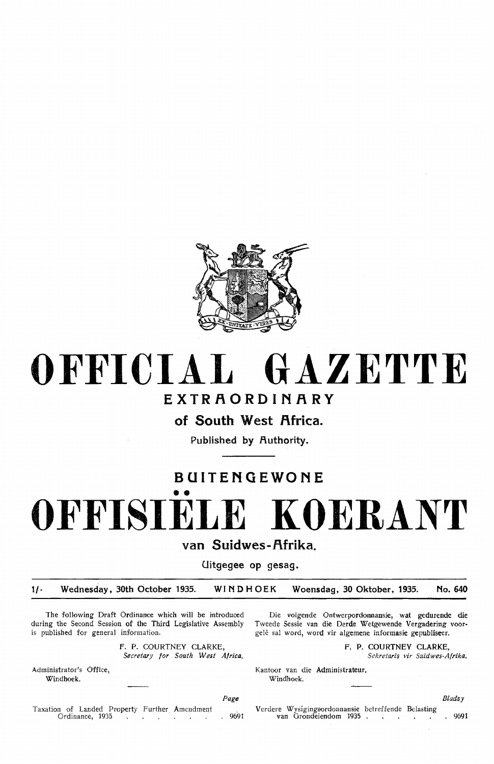

## **OFFICIAL GAZETTE EXTRAORDINARY**

of South West Africa.

**Published by Authority.** 

## **BUITENGEWONE**

•• **OFFISIELE KOERANT** 

**van Suidwes-f\frika.** 

**Uitgegee op gesag.** 

**1/- Wednesday, 30th October 1935. WINDHOEK Woensdag, 30 Oktober, 1935. No. 640** 

The following Draft Ordinance which will be introduced during the Second Session of the Third Legislative Assembly is published for general information.

> F. P. COURTNEY CLARKE, *Secretuy for South West Africa.*

Administrator's Office, Windhoek.

Page

Taxation of Landed Property Further Amendment Verdere Wysigingsordonnansie betreffende Belasting

Die volgende Ontwerpordonnansie, wat gedurende die Tweede Sessie van die Derde Wetgewende Vergadering voorgelê sal word, word vir algemene informasie gepubliseer.

F. **P. COURTNEY CLARKE,** 

Sekretaris vir Suidwes-Afrika.

Kantoor van die Administrateur. Windhoek.

**Blads**y

Ordinance, 1935 , 9691 v an Grondeiendom 1935 . . 9691